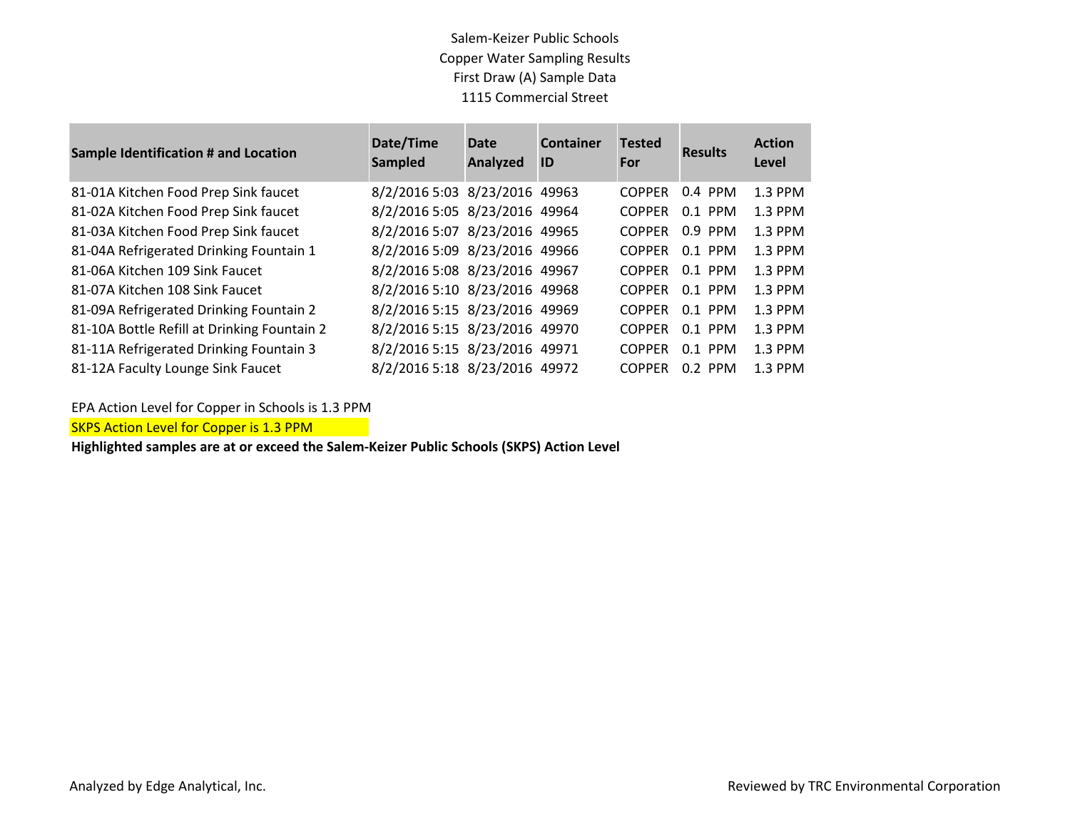## Salem-Keizer Public Schools Copper Water Sampling Results First Draw (A) Sample Data 1115 Commercial Street

| <b>Sample Identification # and Location</b> | Date/Time<br><b>Sampled</b>   | <b>Date</b><br>Analyzed | <b>Container</b><br><b>ID</b> | <b>Tested</b><br>For | <b>Results</b> | <b>Action</b><br>Level |
|---------------------------------------------|-------------------------------|-------------------------|-------------------------------|----------------------|----------------|------------------------|
| 81-01A Kitchen Food Prep Sink faucet        | 8/2/2016 5:03 8/23/2016 49963 |                         |                               | <b>COPPER</b>        | $0.4$ PPM      | 1.3 PPM                |
| 81-02A Kitchen Food Prep Sink faucet        | 8/2/2016 5:05 8/23/2016 49964 |                         |                               | <b>COPPER</b>        | $0.1$ PPM      | 1.3 PPM                |
| 81-03A Kitchen Food Prep Sink faucet        | 8/2/2016 5:07 8/23/2016 49965 |                         |                               | <b>COPPER</b>        | $0.9$ PPM      | 1.3 PPM                |
| 81-04A Refrigerated Drinking Fountain 1     | 8/2/2016 5:09 8/23/2016 49966 |                         |                               | <b>COPPER</b>        | $0.1$ PPM      | 1.3 PPM                |
| 81-06A Kitchen 109 Sink Faucet              | 8/2/2016 5:08 8/23/2016 49967 |                         |                               | <b>COPPER</b>        | $0.1$ PPM      | 1.3 PPM                |
| 81-07A Kitchen 108 Sink Faucet              | 8/2/2016 5:10 8/23/2016 49968 |                         |                               | <b>COPPER</b>        | $0.1$ PPM      | 1.3 PPM                |
| 81-09A Refrigerated Drinking Fountain 2     | 8/2/2016 5:15 8/23/2016 49969 |                         |                               | <b>COPPER</b>        | $0.1$ PPM      | 1.3 PPM                |
| 81-10A Bottle Refill at Drinking Fountain 2 | 8/2/2016 5:15 8/23/2016 49970 |                         |                               | <b>COPPER</b>        | $0.1$ PPM      | $1.3$ PPM              |
| 81-11A Refrigerated Drinking Fountain 3     | 8/2/2016 5:15 8/23/2016 49971 |                         |                               | <b>COPPER</b>        | $0.1$ PPM      | $1.3$ PPM              |
| 81-12A Faculty Lounge Sink Faucet           | 8/2/2016 5:18 8/23/2016 49972 |                         |                               | <b>COPPER</b>        | $0.2$ PPM      | $1.3$ PPM              |

EPA Action Level for Copper in Schools is 1.3 PPM

**SKPS Action Level for Copper is 1.3 PPM** 

**Highlighted samples are at or exceed the Salem-Keizer Public Schools (SKPS) Action Level**